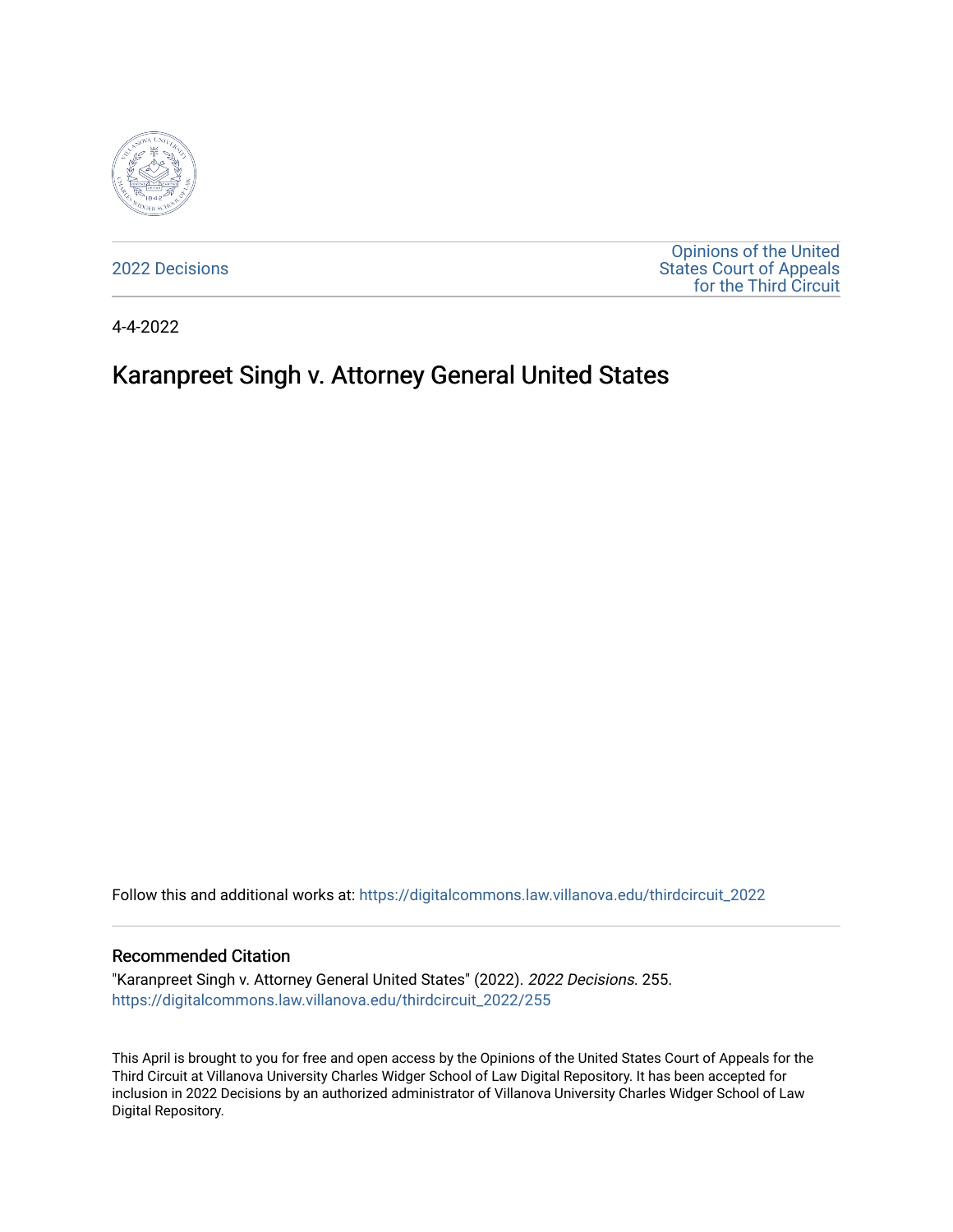

[2022 Decisions](https://digitalcommons.law.villanova.edu/thirdcircuit_2022)

[Opinions of the United](https://digitalcommons.law.villanova.edu/thirdcircuit)  [States Court of Appeals](https://digitalcommons.law.villanova.edu/thirdcircuit)  [for the Third Circuit](https://digitalcommons.law.villanova.edu/thirdcircuit) 

4-4-2022

# Karanpreet Singh v. Attorney General United States

Follow this and additional works at: [https://digitalcommons.law.villanova.edu/thirdcircuit\\_2022](https://digitalcommons.law.villanova.edu/thirdcircuit_2022?utm_source=digitalcommons.law.villanova.edu%2Fthirdcircuit_2022%2F255&utm_medium=PDF&utm_campaign=PDFCoverPages) 

#### Recommended Citation

"Karanpreet Singh v. Attorney General United States" (2022). 2022 Decisions. 255. [https://digitalcommons.law.villanova.edu/thirdcircuit\\_2022/255](https://digitalcommons.law.villanova.edu/thirdcircuit_2022/255?utm_source=digitalcommons.law.villanova.edu%2Fthirdcircuit_2022%2F255&utm_medium=PDF&utm_campaign=PDFCoverPages)

This April is brought to you for free and open access by the Opinions of the United States Court of Appeals for the Third Circuit at Villanova University Charles Widger School of Law Digital Repository. It has been accepted for inclusion in 2022 Decisions by an authorized administrator of Villanova University Charles Widger School of Law Digital Repository.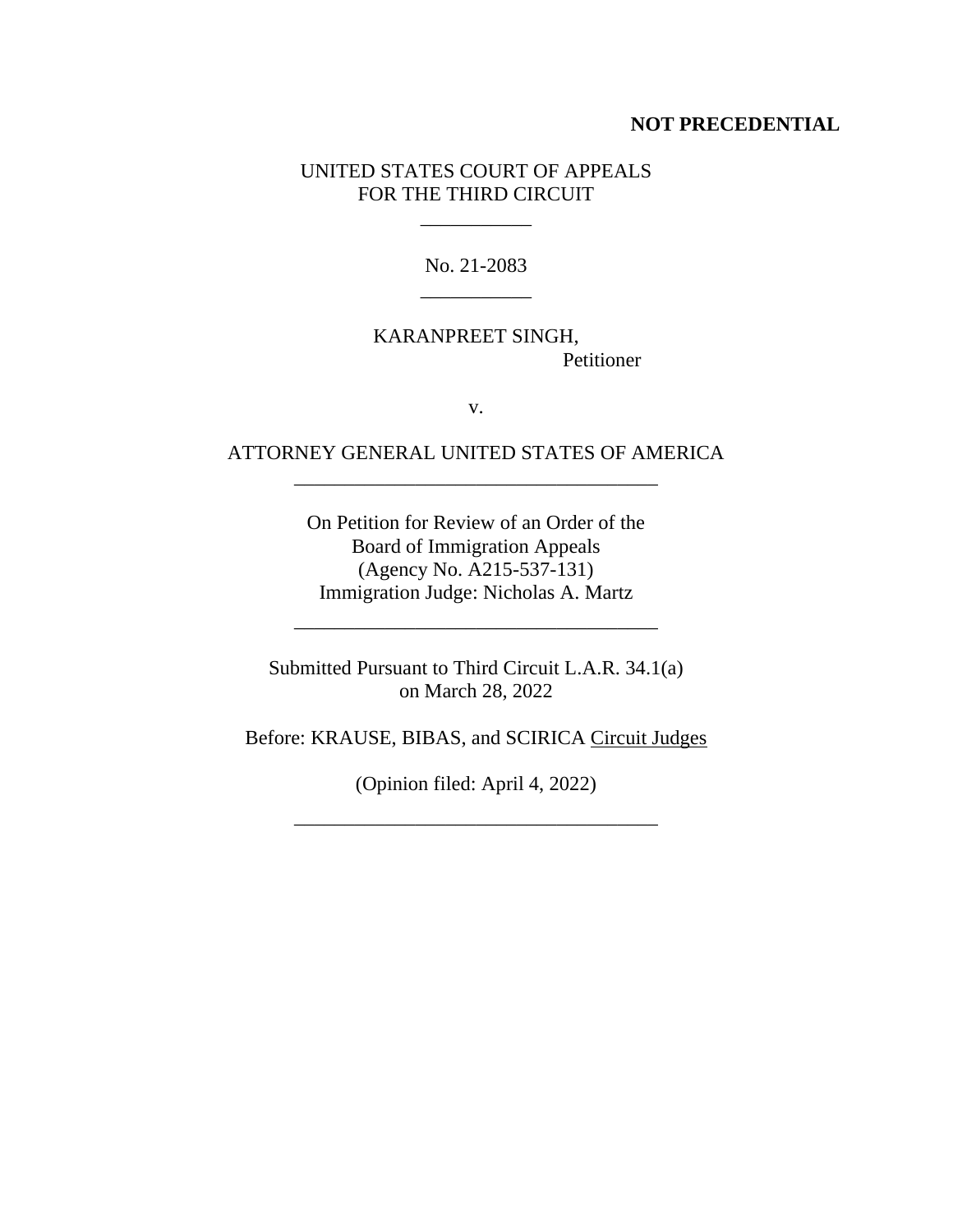#### **NOT PRECEDENTIAL**

#### UNITED STATES COURT OF APPEALS FOR THE THIRD CIRCUIT

 $\mathcal{L}=\mathcal{L}=\mathcal{L}=\mathcal{L}=\mathcal{L}$ 

No. 21-2083 \_\_\_\_\_\_\_\_\_\_\_

## KARANPREET SINGH, Petitioner

v.

## ATTORNEY GENERAL UNITED STATES OF AMERICA \_\_\_\_\_\_\_\_\_\_\_\_\_\_\_\_\_\_\_\_\_\_\_\_\_\_\_\_\_\_\_\_\_\_\_\_

On Petition for Review of an Order of the Board of Immigration Appeals (Agency No. A215-537-131) Immigration Judge: Nicholas A. Martz

Submitted Pursuant to Third Circuit L.A.R. 34.1(a) on March 28, 2022

\_\_\_\_\_\_\_\_\_\_\_\_\_\_\_\_\_\_\_\_\_\_\_\_\_\_\_\_\_\_\_\_\_\_\_\_

Before: KRAUSE, BIBAS, and SCIRICA Circuit Judges

(Opinion filed: April 4, 2022)

\_\_\_\_\_\_\_\_\_\_\_\_\_\_\_\_\_\_\_\_\_\_\_\_\_\_\_\_\_\_\_\_\_\_\_\_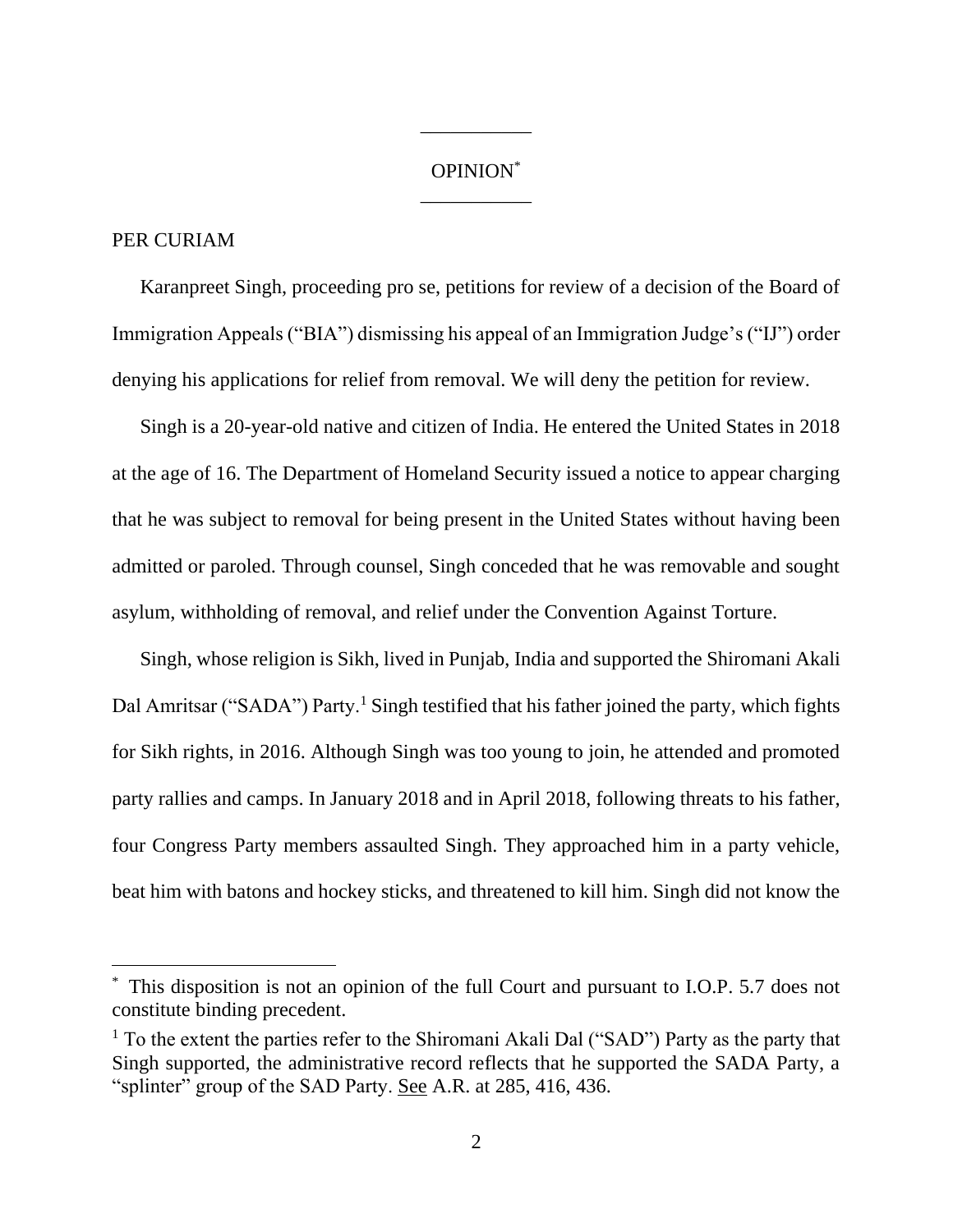## OPINION\* \_\_\_\_\_\_\_\_\_\_\_

\_\_\_\_\_\_\_\_\_\_\_

## PER CURIAM

Karanpreet Singh, proceeding pro se, petitions for review of a decision of the Board of Immigration Appeals ("BIA") dismissing his appeal of an Immigration Judge's ("IJ") order denying his applications for relief from removal. We will deny the petition for review.

Singh is a 20-year-old native and citizen of India. He entered the United States in 2018 at the age of 16. The Department of Homeland Security issued a notice to appear charging that he was subject to removal for being present in the United States without having been admitted or paroled. Through counsel, Singh conceded that he was removable and sought asylum, withholding of removal, and relief under the Convention Against Torture.

Singh, whose religion is Sikh, lived in Punjab, India and supported the Shiromani Akali Dal Amritsar ("SADA") Party.<sup>1</sup> Singh testified that his father joined the party, which fights for Sikh rights, in 2016. Although Singh was too young to join, he attended and promoted party rallies and camps. In January 2018 and in April 2018, following threats to his father, four Congress Party members assaulted Singh. They approached him in a party vehicle, beat him with batons and hockey sticks, and threatened to kill him. Singh did not know the

This disposition is not an opinion of the full Court and pursuant to I.O.P. 5.7 does not constitute binding precedent.

<sup>&</sup>lt;sup>1</sup> To the extent the parties refer to the Shiromani Akali Dal ("SAD") Party as the party that Singh supported, the administrative record reflects that he supported the SADA Party, a "splinter" group of the SAD Party. See A.R. at 285, 416, 436.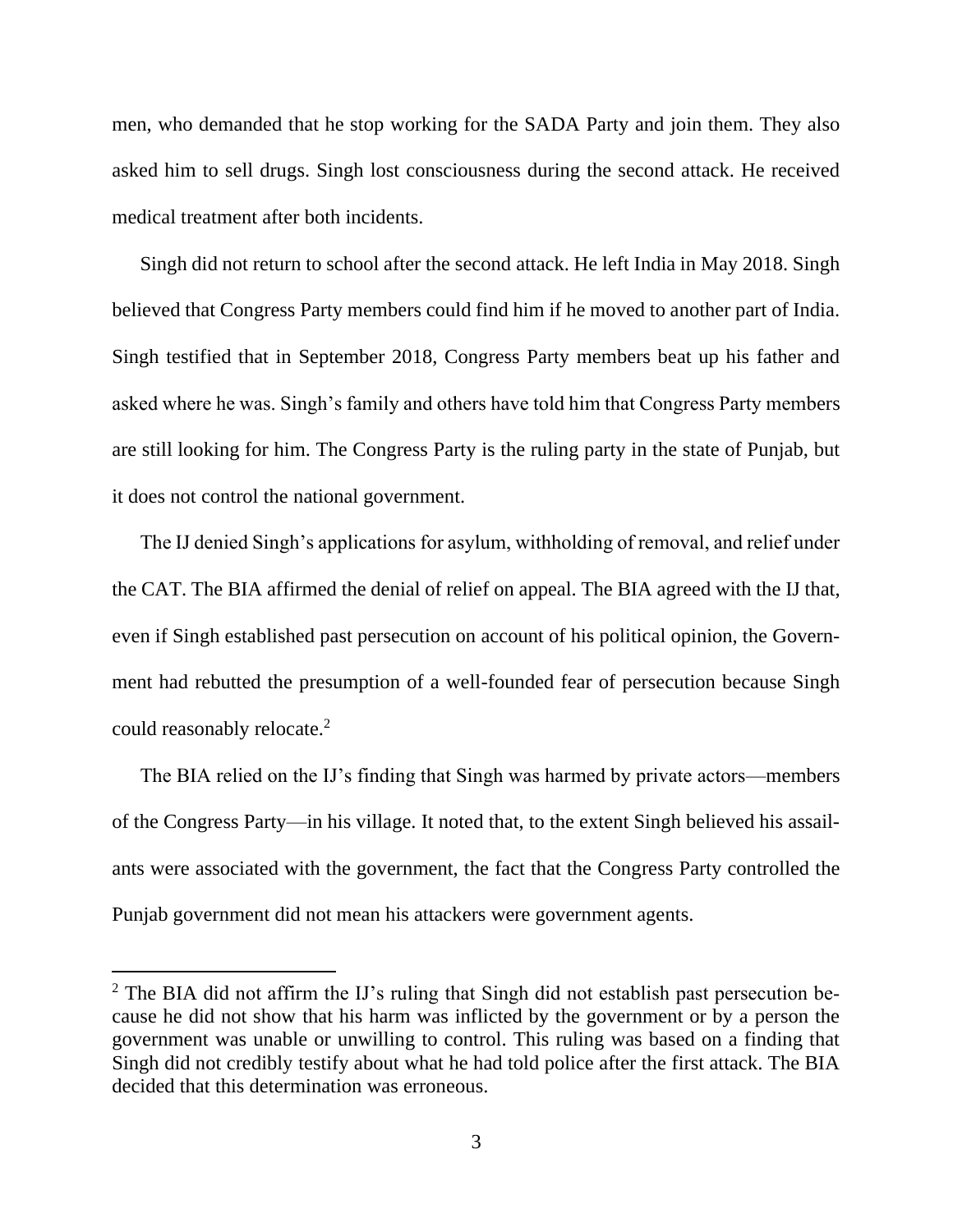men, who demanded that he stop working for the SADA Party and join them. They also asked him to sell drugs. Singh lost consciousness during the second attack. He received medical treatment after both incidents.

Singh did not return to school after the second attack. He left India in May 2018. Singh believed that Congress Party members could find him if he moved to another part of India. Singh testified that in September 2018, Congress Party members beat up his father and asked where he was. Singh's family and others have told him that Congress Party members are still looking for him. The Congress Party is the ruling party in the state of Punjab, but it does not control the national government.

The IJ denied Singh's applications for asylum, withholding of removal, and relief under the CAT. The BIA affirmed the denial of relief on appeal. The BIA agreed with the IJ that, even if Singh established past persecution on account of his political opinion, the Government had rebutted the presumption of a well-founded fear of persecution because Singh could reasonably relocate.<sup>2</sup>

The BIA relied on the IJ's finding that Singh was harmed by private actors—members of the Congress Party—in his village. It noted that, to the extent Singh believed his assailants were associated with the government, the fact that the Congress Party controlled the Punjab government did not mean his attackers were government agents.

<sup>&</sup>lt;sup>2</sup> The BIA did not affirm the IJ's ruling that Singh did not establish past persecution because he did not show that his harm was inflicted by the government or by a person the government was unable or unwilling to control. This ruling was based on a finding that Singh did not credibly testify about what he had told police after the first attack. The BIA decided that this determination was erroneous.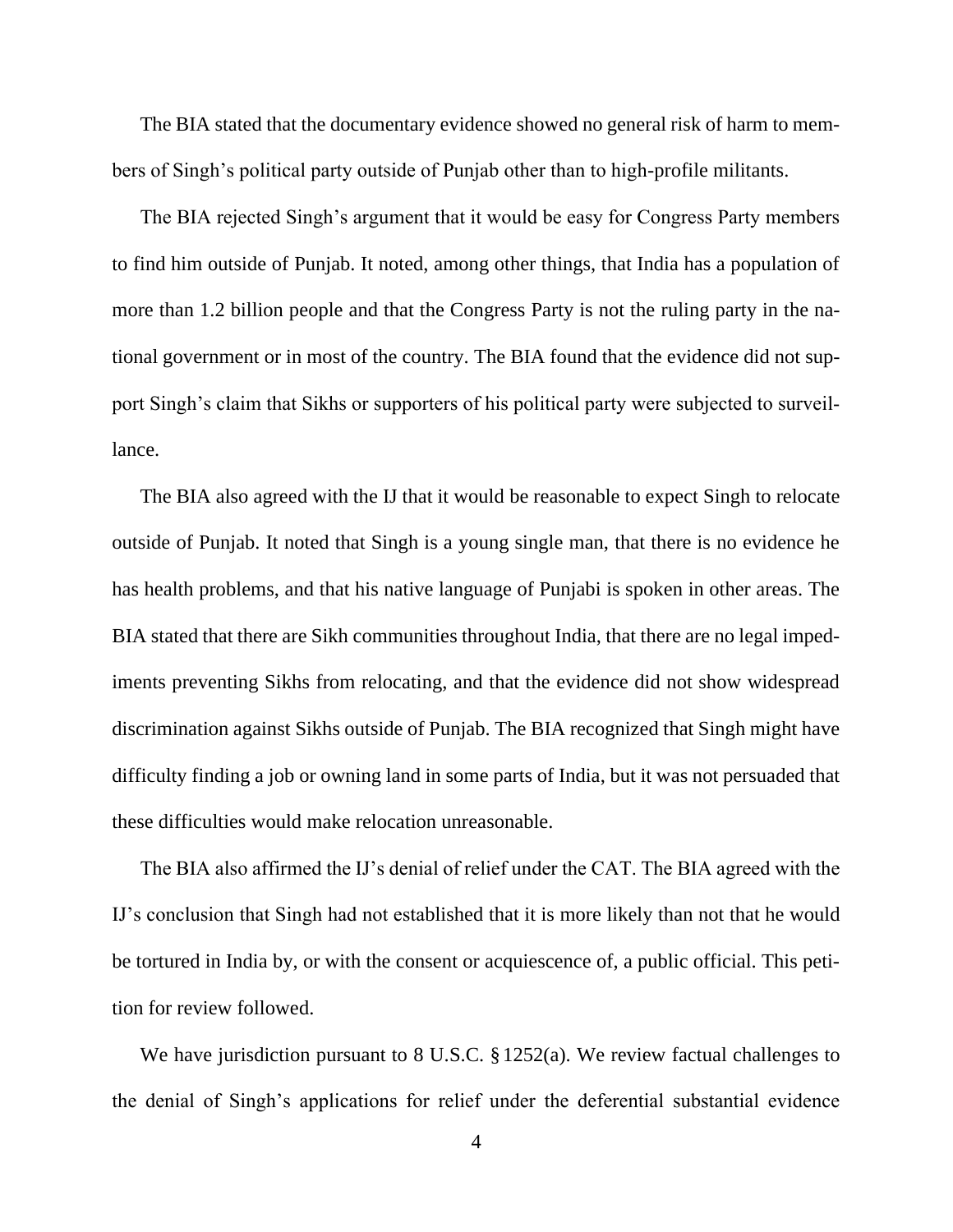The BIA stated that the documentary evidence showed no general risk of harm to members of Singh's political party outside of Punjab other than to high-profile militants.

The BIA rejected Singh's argument that it would be easy for Congress Party members to find him outside of Punjab. It noted, among other things, that India has a population of more than 1.2 billion people and that the Congress Party is not the ruling party in the national government or in most of the country. The BIA found that the evidence did not support Singh's claim that Sikhs or supporters of his political party were subjected to surveillance.

The BIA also agreed with the IJ that it would be reasonable to expect Singh to relocate outside of Punjab. It noted that Singh is a young single man, that there is no evidence he has health problems, and that his native language of Punjabi is spoken in other areas. The BIA stated that there are Sikh communities throughout India, that there are no legal impediments preventing Sikhs from relocating, and that the evidence did not show widespread discrimination against Sikhs outside of Punjab. The BIA recognized that Singh might have difficulty finding a job or owning land in some parts of India, but it was not persuaded that these difficulties would make relocation unreasonable.

The BIA also affirmed the IJ's denial of relief under the CAT. The BIA agreed with the IJ's conclusion that Singh had not established that it is more likely than not that he would be tortured in India by, or with the consent or acquiescence of, a public official. This petition for review followed.

We have jurisdiction pursuant to 8 U.S.C. § 1252(a). We review factual challenges to the denial of Singh's applications for relief under the deferential substantial evidence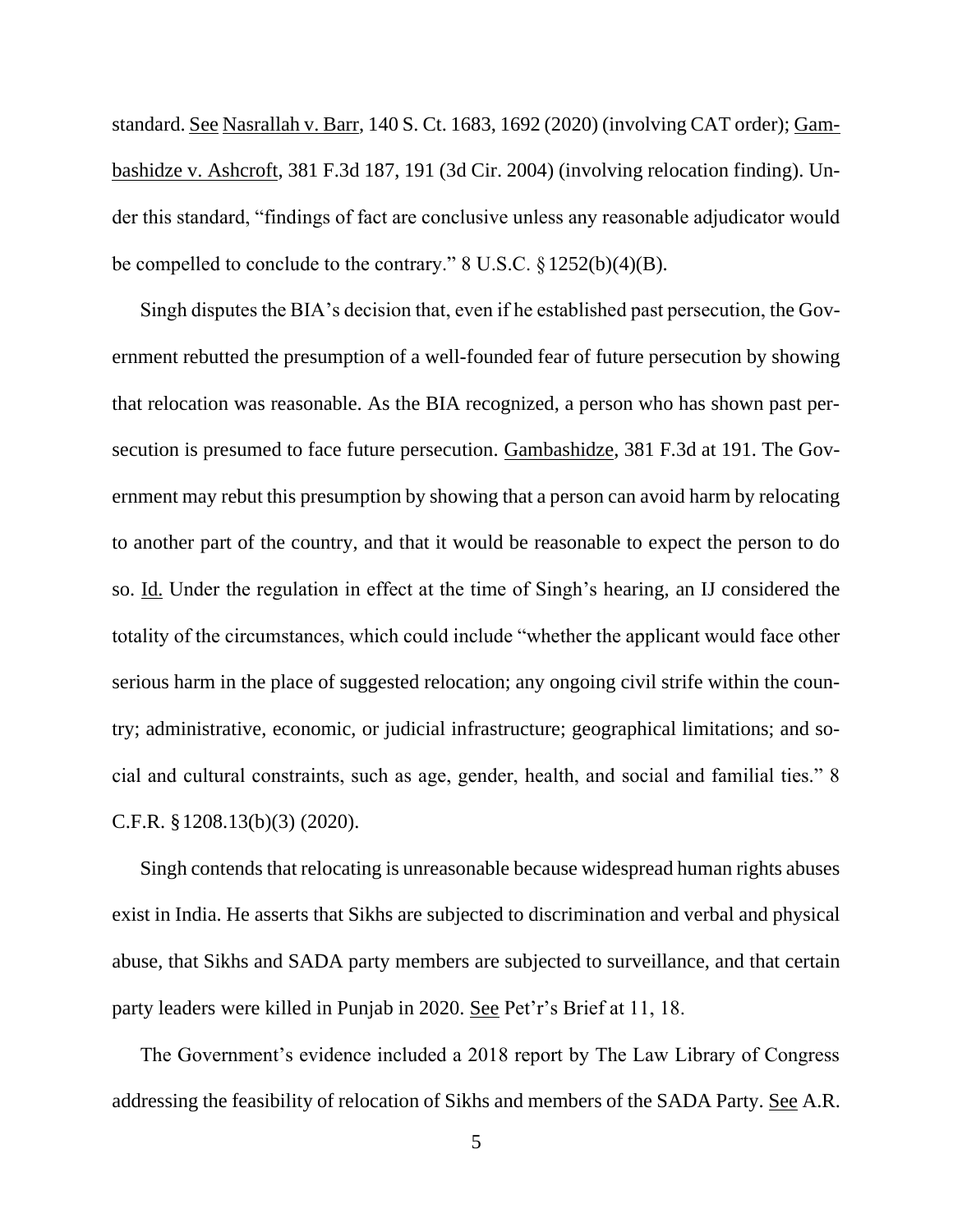standard. See Nasrallah v. Barr, 140 S. Ct. 1683, 1692 (2020) (involving CAT order); Gambashidze v. Ashcroft, 381 F.3d 187, 191 (3d Cir. 2004) (involving relocation finding). Under this standard, "findings of fact are conclusive unless any reasonable adjudicator would be compelled to conclude to the contrary." 8 U.S.C. §1252(b)(4)(B).

Singh disputes the BIA's decision that, even if he established past persecution, the Government rebutted the presumption of a well-founded fear of future persecution by showing that relocation was reasonable. As the BIA recognized, a person who has shown past persecution is presumed to face future persecution. Gambashidze, 381 F.3d at 191. The Government may rebut this presumption by showing that a person can avoid harm by relocating to another part of the country, and that it would be reasonable to expect the person to do so. Id. Under the regulation in effect at the time of Singh's hearing, an IJ considered the totality of the circumstances, which could include "whether the applicant would face other serious harm in the place of suggested relocation; any ongoing civil strife within the country; administrative, economic, or judicial infrastructure; geographical limitations; and social and cultural constraints, such as age, gender, health, and social and familial ties." 8 C.F.R. §1208.13(b)(3) (2020).

Singh contends that relocating is unreasonable because widespread human rights abuses exist in India. He asserts that Sikhs are subjected to discrimination and verbal and physical abuse, that Sikhs and SADA party members are subjected to surveillance, and that certain party leaders were killed in Punjab in 2020. See Pet'r's Brief at 11, 18.

The Government's evidence included a 2018 report by The Law Library of Congress addressing the feasibility of relocation of Sikhs and members of the SADA Party. See A.R.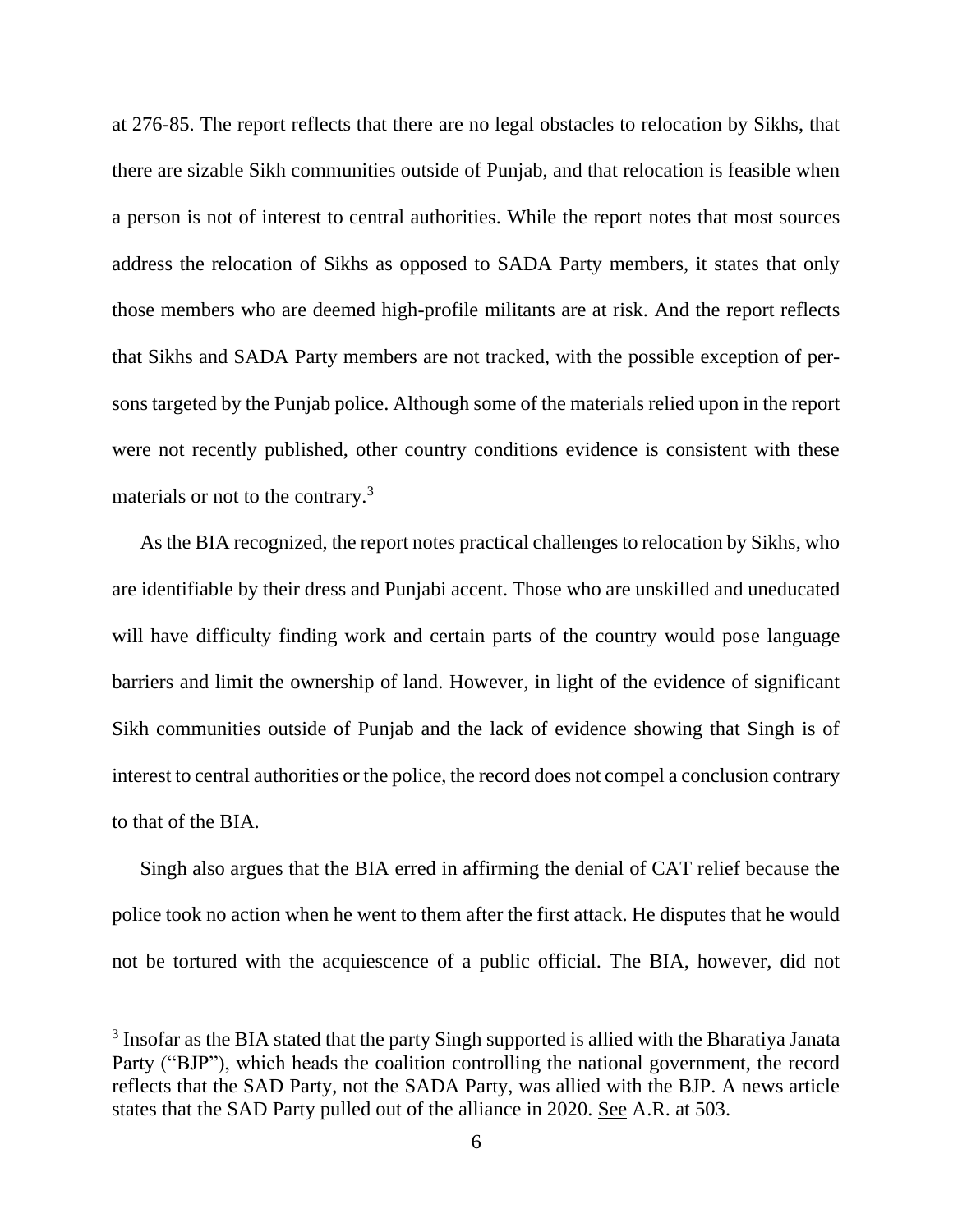at 276-85. The report reflects that there are no legal obstacles to relocation by Sikhs, that there are sizable Sikh communities outside of Punjab, and that relocation is feasible when a person is not of interest to central authorities. While the report notes that most sources address the relocation of Sikhs as opposed to SADA Party members, it states that only those members who are deemed high-profile militants are at risk. And the report reflects that Sikhs and SADA Party members are not tracked, with the possible exception of persons targeted by the Punjab police. Although some of the materials relied upon in the report were not recently published, other country conditions evidence is consistent with these materials or not to the contrary.<sup>3</sup>

As the BIA recognized, the report notes practical challenges to relocation by Sikhs, who are identifiable by their dress and Punjabi accent. Those who are unskilled and uneducated will have difficulty finding work and certain parts of the country would pose language barriers and limit the ownership of land. However, in light of the evidence of significant Sikh communities outside of Punjab and the lack of evidence showing that Singh is of interest to central authorities or the police, the record does not compel a conclusion contrary to that of the BIA.

Singh also argues that the BIA erred in affirming the denial of CAT relief because the police took no action when he went to them after the first attack. He disputes that he would not be tortured with the acquiescence of a public official. The BIA, however, did not

<sup>&</sup>lt;sup>3</sup> Insofar as the BIA stated that the party Singh supported is allied with the Bharatiya Janata Party ("BJP"), which heads the coalition controlling the national government, the record reflects that the SAD Party, not the SADA Party, was allied with the BJP. A news article states that the SAD Party pulled out of the alliance in 2020. See A.R. at 503.